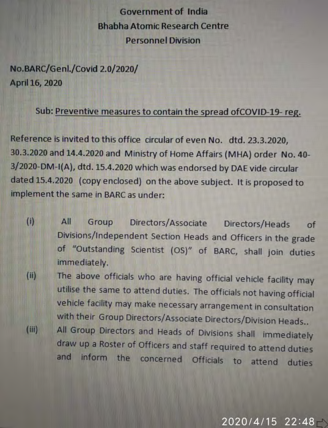**Government of India Bhabha Atomic Research Centre Personnel Division** 

No.BARC/Genl./Covid 2.0/2020/ April 16, 2020

 $(iii)$ 

## Sub: Preventive measures to contain the spread of COVID-19-reg.

Reference is invited to this office circular of even No. dtd. 23.3.2020, 30.3.2020 and 14.4.2020 and Ministry of Home Affairs (MHA) order No. 40-3/2020-DM-I(A), dtd. 15.4.2020 which was endorsed by DAE vide circular dated 15.4.2020 (copy enclosed) on the above subject. It is proposed to implement the same in BARC as under:

- $(i)$  $A$ Directors/Associate Directors/Heads Group of Divisions/Independent Section Heads and Officers in the grade of "Outstanding Scientist (OS)" of BARC, shall join duties immediately.
- The above officials who are having official vehicle facility may  $(i)$ utilise the same to attend duties. The officials not having official vehicle facility may make necessary arrangement in consultation

with their Group Directors/Associate Directors/Division Heads.. All Group Directors and Heads of Divisions shall immediately draw up a Roster of Officers and staff required to attend duties and inform the concerned Officials to attend duties

## $2020/4/15$  22:48